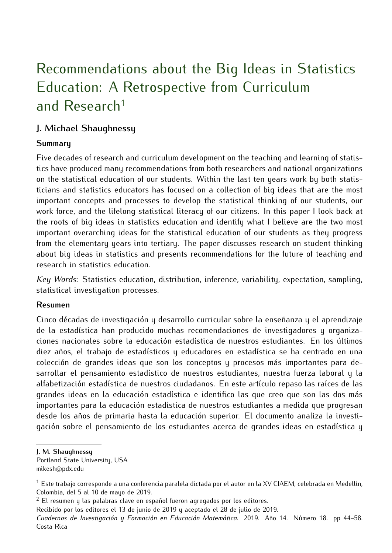# Recommendations about the Big Ideas in Statistics Education: A Retrospective from Curriculum and Research<sup>1</sup>

# **J. Michael Shaughnessy**

#### **Summary**

Five decades of research and curriculum development on the teaching and learning of statistics have produced many recommendations from both researchers and national organizations on the statistical education of our students. Within the last ten years work by both statisticians and statistics educators has focused on a collection of big ideas that are the most important concepts and processes to develop the statistical thinking of our students, our work force, and the lifelong statistical literacy of our citizens. In this paper I look back at the roots of big ideas in statistics education and identify what I believe are the two most important overarching ideas for the statistical education of our students as they progress from the elementary years into tertiary. The paper discusses research on student thinking about big ideas in statistics and presents recommendations for the future of teaching and research in statistics education.

*Key Words*: Statistics education, distribution, inference, variability, expectation, sampling, statistical investigation processes.

#### **Resumen**

Cinco décadas de investigación y desarrollo curricular sobre la enseñanza y el aprendizaje de la estadística han producido muchas recomendaciones de investigadores y organizaciones nacionales sobre la educación estadística de nuestros estudiantes. En los últimos diez años, el trabajo de estadísticos y educadores en estadística se ha centrado en una colección de grandes ideas que son los conceptos y procesos más importantes para desarrollar el pensamiento estadístico de nuestros estudiantes, nuestra fuerza laboral y la alfabetización estadística de nuestros ciudadanos. En este artículo repaso las raíces de las grandes ideas en la educación estadística e identifico las que creo que son las dos más importantes para la educación estadística de nuestros estudiantes a medida que progresan desde los años de primaria hasta la educación superior. El documento analiza la investigación sobre el pensamiento de los estudiantes acerca de grandes ideas en estadística y

**J. M. Shaughnessy**

Portland State University, USA mikesh@pdx.edu

<sup>&</sup>lt;sup>1</sup> Este trabajo corresponde a una conferencia paralela dictada por el autor en la XV CIAEM, celebrada en Medellín, Colombia, del 5 al 10 de mayo de 2019.

 $2$  El resumen y las palabras clave en español fueron agregados por los editores.

Recibido por los editores el 13 de junio de 2019 y aceptado el 28 de julio de 2019.

*Cuadernos de Investigación y Formación en Educación Matemática.* 2019. Año 14. Número 18. pp 44–[58](#page-14-0). Costa Rica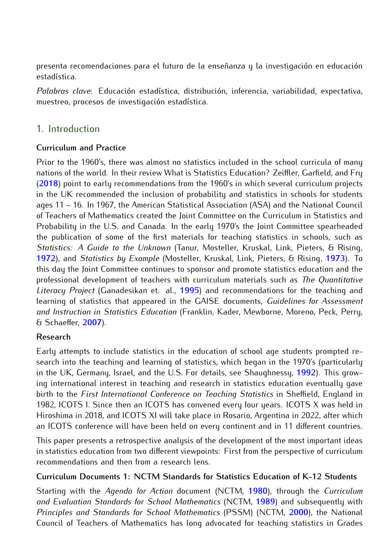presenta recomendaciones para el futuro de la enseñanza y la investigación en educación estadística.

*Palabras clave*: Educación estadística, distribución, inferencia, variabilidad, expectativa, muestreo, procesos de investigación estadística.

# 1. Introduction

## **Curriculum and Practice**

Prior to the 1960's, there was almost no statistics included in the school curricula of many nations of the world. In their review What is Statistics Education? Zeiffler, Garfield, and Fry (**[2018](#page-14-0)**) point to early recommendations from the 1960's in which several curriculum projects in the UK recommended the inclusion of probability and statistics in schools for students ages 11 – 16. In 1967, the American Statistical Association (ASA) and the National Council of Teachers of Mathematics created the Joint Committee on the Curriculum in Statistics and Probability in the U.S. and Canada. In the early 1970's the Joint Committee spearheaded the publication of some of the first materials for teaching statistics in schools, such as *Statistics: A Guide to the Unknown* (Tanur, Mosteller, Kruskal, Link, Pieters, & Rising, **[1972](#page-14-0)**), and *Statistics by Example* (Mosteller, Kruskal, Link, Pieters, & Rising, **[1973](#page-13-0)**). To this day the Joint Committee continues to sponsor and promote statistics education and the professional development of teachers with curriculum materials such as *The Quantitative Literacy Project* (Ganadesikan et. al., **[1995](#page-13-0)**) and recommendations for the teaching and learning of statistics that appeared in the GAISE documents, *Guidelines for Assessment and Instruction in Statistics Education* (Franklin, Kader, Mewborne, Moreno, Peck, Perry, & Schaeffer, **[2007](#page-13-0)**).

## **Research**

Early attempts to include statistics in the education of school age students prompted research into the teaching and learning of statistics, which began in the 1970's (particularly in the UK, Germany, Israel, and the U.S. For details, see Shaughnessy, **[1992](#page-13-0)**). This growing international interest in teaching and research in statistics education eventually gave birth to the *First International Conference on Teaching Statistics* in Sheffield, England in 1982, ICOTS I. Since then an ICOTS has convened every four years. ICOTS X was held in Hiroshima in 2018, and ICOTS XI will take place in Rosario, Argentina in 2022, after which an ICOTS conference will have been held on every continent and in 11 different countries.

This paper presents a retrospective analysis of the development of the most important ideas in statistics education from two different viewpoints: First from the perspective of curriculum recommendations and then from a research lens.

## **Curriculum Documents 1: NCTM Standards for Statistics Education of K-12 Students**

Starting with the *Agenda for Action* document (NCTM, **[1980](#page-13-0)**), through the *Curriculum and Evaluation Standards for School Mathematics* (NCTM, **[1989](#page-13-0)**) and subsequently with *Principles and Standards for School Mathematics* (PSSM) (NCTM, **[2000](#page-13-0)**), the National Council of Teachers of Mathematics has long advocated for teaching statistics in Grades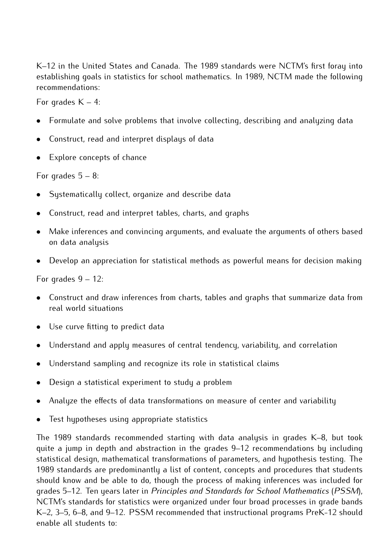K–12 in the United States and Canada. The 1989 standards were NCTM's first foray into establishing goals in statistics for school mathematics. In 1989, NCTM made the following recommendations:

For grades  $K - 4$ :

- Formulate and solve problems that involve collecting, describing and analyzing data
- Construct, read and interpret displays of data
- Explore concepts of chance

For grades  $5 - 8$ :

- Systematically collect, organize and describe data
- Construct, read and interpret tables, charts, and graphs
- Make inferences and convincing arguments, and evaluate the arguments of others based on data analysis
- Develop an appreciation for statistical methods as powerful means for decision making

For grades 9 – 12:

- Construct and draw inferences from charts, tables and graphs that summarize data from real world situations
- Use curve fitting to predict data
- Understand and apply measures of central tendency, variability, and correlation
- Understand sampling and recognize its role in statistical claims
- Design a statistical experiment to study a problem
- Analyze the effects of data transformations on measure of center and variability
- Test hypotheses using appropriate statistics

The 1989 standards recommended starting with data analysis in grades K–8, but took quite a jump in depth and abstraction in the grades 9–12 recommendations by including statistical design, mathematical transformations of parameters, and hypothesis testing. The 1989 standards are predominantly a list of content, concepts and procedures that students should know and be able to do, though the process of making inferences was included for grades 5–12. Ten years later in *Principles and Standards for School Mathematics* (*PSSM*), NCTM's standards for statistics were organized under four broad processes in grade bands K–2, 3–5, 6–8, and 9–12. PSSM recommended that instructional programs PreK-12 should enable all students to: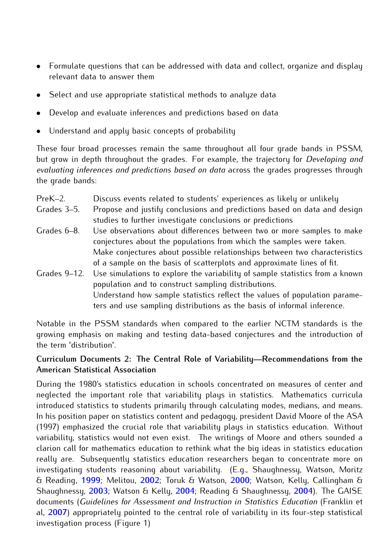- Formulate questions that can be addressed with data and collect, organize and display relevant data to answer them
- Select and use appropriate statistical methods to analyze data
- Develop and evaluate inferences and predictions based on data
- Understand and apply basic concepts of probability

These four broad processes remain the same throughout all four grade bands in PSSM, but grow in depth throughout the grades. For example, the trajectory for *Developing and evaluating inferences and predictions based on data* across the grades progresses through the grade bands:

- PreK–2. Discuss events related to students' experiences as likely or unlikely
- Grades 3–5. Propose and justify conclusions and predictions based on data and design studies to further investigate conclusions or predictions
- Grades 6–8. Use observations about differences between two or more samples to make conjectures about the populations from which the samples were taken. Make conjectures about possible relationships between two characteristics of a sample on the basis of scatterplots and approximate lines of fit.
- Grades 9–12. Use simulations to explore the variability of sample statistics from a known population and to construct sampling distributions. Understand how sample statistics reflect the values of population parameters and use sampling distributions as the basis of informal inference.

Notable in the PSSM standards when compared to the earlier NCTM standards is the growing emphasis on making and testing data-based conjectures and the introduction of the term "distribution".

## **Curriculum Documents 2: The Central Role of Variability—Recommendations from the American Statistical Association**

During the 1980's statistics education in schools concentrated on measures of center and neglected the important role that variability plays in statistics. Mathematics curricula introduced statistics to students primarily through calculating modes, medians, and means. In his position paper on statistics content and pedagogy, president David Moore of the ASA (1997) emphasized the crucial role that variability plays in statistics education. Without variability, statistics would not even exist. The writings of Moore and others sounded a clarion call for mathematics education to rethink what the big ideas in statistics education really are. Subsequently statistics education researchers began to concentrate more on investigating students reasoning about variability. (E.g., Shaughnessy, Watson, Moritz & Reading, **[1999](#page-14-0)**; Melitou, **[2002](#page-13-0)**; Toruk & Watson, **[2000](#page-14-0)**; Watson, Kelly, Callingham & Shaughnessy, **[2003](#page-14-0)**; Watson & Kelly, **[2004](#page-14-0)**; Reading & Shaughnessy, **[2004](#page-13-0)**). The GAISE documents (*Guidelines for Assessment and Instruction in Statistics Education* (Franklin et al, **[2007](#page-13-0)**) appropriately pointed to the central role of variability in its four-step statistical investigation process (Figure 1)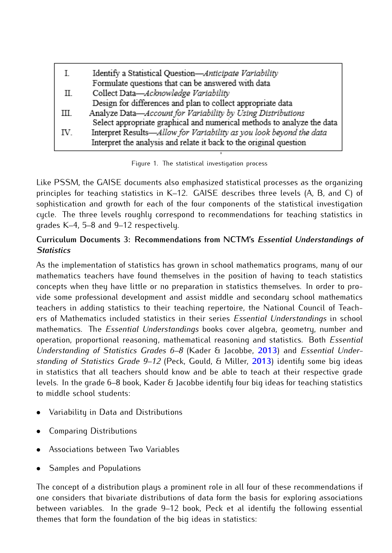| L   | Identify a Statistical Question-Anticipate Variability                 |
|-----|------------------------------------------------------------------------|
|     | Formulate questions that can be answered with data                     |
| П.  | Collect Data-Acknowledge Variability                                   |
|     | Design for differences and plan to collect appropriate data            |
| Ш   | Analyze Data-Account for Variability by Using Distributions            |
|     | Select appropriate graphical and numerical methods to analyze the data |
| IV. | Interpret Results-Allow for Variability as you look beyond the data    |
|     | Interpret the analysis and relate it back to the original question     |

Figure 1. The statistical investigation process

Like PSSM, the GAISE documents also emphasized statistical processes as the organizing principles for teaching statistics in K–12. GAISE describes three levels (A, B, and C) of sophistication and growth for each of the four components of the statistical investigation cycle. The three levels roughly correspond to recommendations for teaching statistics in grades K–4, 5–8 and 9–12 respectively.

# **Curriculum Documents 3: Recommendations from NCTM's** *Essential Understandings of Statistics*

As the implementation of statistics has grown in school mathematics programs, many of our mathematics teachers have found themselves in the position of having to teach statistics concepts when they have little or no preparation in statistics themselves. In order to provide some professional development and assist middle and secondary school mathematics teachers in adding statistics to their teaching repertoire, the National Council of Teachers of Mathematics included statistics in their series *Essential Understandings* in school mathematics. The *Essential Understandings* books cover algebra, geometry, number and operation, proportional reasoning, mathematical reasoning and statistics. Both *Essential Understanding of Statistics Grades 6–8* (Kader & Jacobbe, **[2013](#page-13-0)**) and *Essential Understanding of Statistics Grade 9–12* (Peck, Gould, & Miller, **[2013](#page-13-0)**) identify some big ideas in statistics that all teachers should know and be able to teach at their respective grade levels. In the grade 6–8 book, Kader & Jacobbe identify four big ideas for teaching statistics to middle school students:

- Variability in Data and Distributions
- Comparing Distributions
- Associations between Two Variables
- Samples and Populations

The concept of a distribution plays a prominent role in all four of these recommendations if one considers that bivariate distributions of data form the basis for exploring associations between variables. In the grade 9–12 book, Peck et al identify the following essential themes that form the foundation of the big ideas in statistics: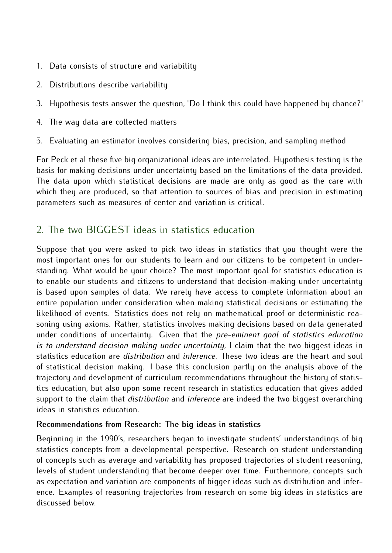- 1. Data consists of structure and variability
- 2. Distributions describe variability
- 3. Hypothesis tests answer the question, "Do I think this could have happened by chance?"
- 4. The way data are collected matters
- 5. Evaluating an estimator involves considering bias, precision, and sampling method

For Peck et al these five big organizational ideas are interrelated. Hypothesis testing is the basis for making decisions under uncertainty based on the limitations of the data provided. The data upon which statistical decisions are made are only as good as the care with which they are produced, so that attention to sources of bias and precision in estimating parameters such as measures of center and variation is critical.

# 2. The two BIGGEST ideas in statistics education

Suppose that you were asked to pick two ideas in statistics that you thought were the most important ones for our students to learn and our citizens to be competent in understanding. What would be your choice? The most important goal for statistics education is to enable our students and citizens to understand that decision-making under uncertainty is based upon samples of data. We rarely have access to complete information about an entire population under consideration when making statistical decisions or estimating the likelihood of events. Statistics does not rely on mathematical proof or deterministic reasoning using axioms. Rather, statistics involves making decisions based on data generated under conditions of uncertainty. Given that the *pre-eminent goal of statistics education is to understand decision making under uncertainty*, I claim that the two biggest ideas in statistics education are *distribution* and *inference*. These two ideas are the heart and soul of statistical decision making. I base this conclusion partly on the analysis above of the trajectory and development of curriculum recommendations throughout the history of statistics education, but also upon some recent research in statistics education that gives added support to the claim that *distribution* and *inference* are indeed the two biggest overarching ideas in statistics education.

## **Recommendations from Research: The big ideas in statistics**

Beginning in the 1990's, researchers began to investigate students' understandings of big statistics concepts from a developmental perspective. Research on student understanding of concepts such as average and variability has proposed trajectories of student reasoning, levels of student understanding that become deeper over time. Furthermore, concepts such as expectation and variation are components of bigger ideas such as distribution and inference. Examples of reasoning trajectories from research on some big ideas in statistics are discussed below.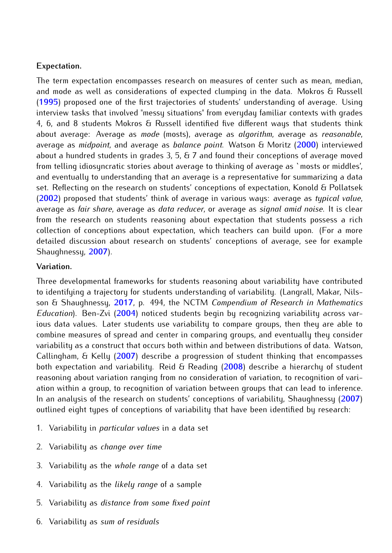#### **Expectation.**

The term expectation encompasses research on measures of center such as mean, median, and mode as well as considerations of expected clumping in the data. Mokros & Russell (**[1995](#page-13-0)**) proposed one of the first trajectories of students' understanding of average. Using interview tasks that involved "messy situations" from everyday familiar contexts with grades 4, 6, and 8 students Mokros & Russell identified five different ways that students think about average: Average as *mode* (mosts), average as *algorithm*, average as *reasonable*, average as *midpoint*, and average as *balance point*. Watson & Moritz (**[2000](#page-14-0)**) interviewed about a hundred students in grades  $3, 5, 6, 7$  and found their conceptions of average moved from telling idiosyncratic stories about average to thinking of average as `mosts or middles', and eventually to understanding that an average is a representative for summarizing a data set. Reflecting on the research on students' conceptions of expectation, Konold & Pollatsek (**[2002](#page-13-0)**) proposed that students' think of average in various ways: average as *typical value*, average as *fair share*, average as *data reducer*, or average as *signal amid noise*. It is clear from the research on students reasoning about expectation that students possess a rich collection of conceptions about expectation, which teachers can build upon. (For a more detailed discussion about research on students' conceptions of average, see for example Shaughnessy, **[2007](#page-14-0)**).

#### **Variation.**

Three developmental frameworks for students reasoning about variability have contributed to identifying a trajectory for students understanding of variability. (Langrall, Makar, Nilsson & Shaughnessy, **[2017](#page-13-0)**, p. 494, the NCTM *Compendium of Research in Mathematics Education*). Ben-Zvi (**[2004](#page-12-0)**) noticed students begin by recognizing variability across various data values. Later students use variability to compare groups, then they are able to combine measures of spread and center in comparing groups, and eventually they consider variability as a construct that occurs both within and between distributions of data. Watson, Callingham, & Kelly (**[2007](#page-14-0)**) describe a progression of student thinking that encompasses both expectation and variability. Reid & Reading (**[2008](#page-13-0)**) describe a hierarchy of student reasoning about variation ranging from no consideration of variation, to recognition of variation within a group, to recognition of variation between groups that can lead to inference. In an analysis of the research on students' conceptions of variability, Shaughnessy (**[2007](#page-14-0)**) outlined eight types of conceptions of variability that have been identified by research:

- 1. Variability in *particular values* in a data set
- 2. Variability as *change over time*
- 3. Variability as the *whole range* of a data set
- 4. Variability as the *likely range* of a sample
- 5. Variability as *distance from some fixed point*
- 6. Variability as *sum of residuals*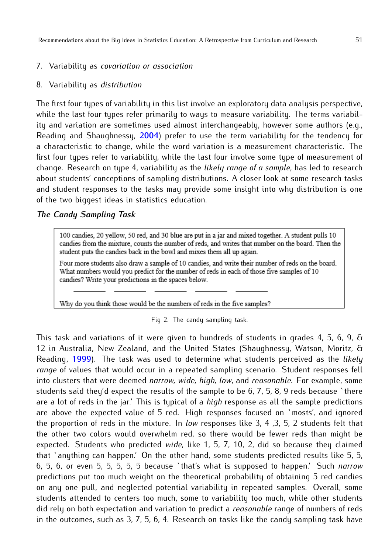#### 7. Variability as *covariation or association*

#### 8. Variability as *distribution*

The first four types of variability in this list involve an exploratory data analysis perspective, while the last four types refer primarily to ways to measure variability. The terms variability and variation are sometimes used almost interchangeably, however some authors (e.g., Reading and Shaughnessy, **[2004](#page-13-0)**) prefer to use the term variability for the tendency for a characteristic to change, while the word variation is a measurement characteristic. The first four types refer to variability, while the last four involve some type of measurement of change. Research on type 4, variability as the *likely range of a sample*, has led to research about students' conceptions of sampling distributions. A closer look at some research tasks and student responses to the tasks may provide some insight into why distribution is one of the two biggest ideas in statistics education.

#### *The Candy Sampling Task*

100 candies, 20 yellow, 50 red, and 30 blue are put in a jar and mixed together. A student pulls 10 candies from the mixture, counts the number of reds, and writes that number on the board. Then the student puts the candies back in the bowl and mixes them all up again.

Four more students also draw a sample of 10 candies, and write their number of reds on the board. What numbers would you predict for the number of reds in each of those five samples of 10 candies? Write your predictions in the spaces below.

Why do you think those would be the numbers of reds in the five samples?

Fig 2. The candy sampling task.

This task and variations of it were given to hundreds of students in grades 4, 5, 6, 9, & 12 in Australia, New Zealand, and the United States (Shaughnessy, Watson, Moritz, & Reading, **[1999](#page-14-0)**). The task was used to determine what students perceived as the *likely range* of values that would occur in a repeated sampling scenario. Student responses fell into clusters that were deemed *narrow, wide, high, low*, and *reasonable*. For example, some students said they'd expect the results of the sample to be 6, 7, 5, 8, 9 reds because 'there are a lot of reds in the jar.' This is typical of a *high* response as all the sample predictions are above the expected value of 5 red. High responses focused on `mosts', and ignored the proportion of reds in the mixture. In *low* responses like 3, 4 ,3, 5, 2 students felt that the other two colors would overwhelm red, so there would be fewer reds than might be expected. Students who predicted *wide*, like 1, 5, 7, 10, 2, did so because they claimed that `anything can happen.' On the other hand, some students predicted results like 5, 5, 6, 5, 6, or even 5, 5, 5, 5, 5 because `that's what is supposed to happen.' Such *narrow* predictions put too much weight on the theoretical probability of obtaining 5 red candies on any one pull, and neglected potential variability in repeated samples. Overall, some students attended to centers too much, some to variability too much, while other students did rely on both expectation and variation to predict a *reasonable* range of numbers of reds in the outcomes, such as 3, 7, 5, 6, 4. Research on tasks like the candy sampling task have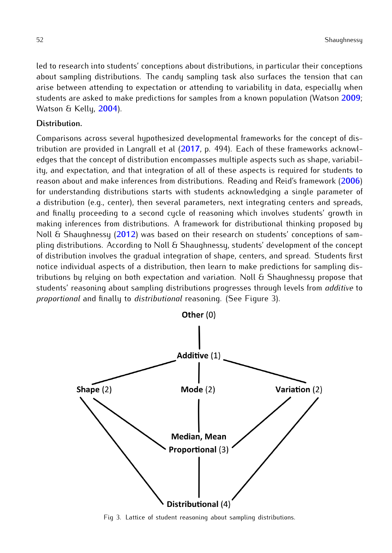led to research into students' conceptions about distributions, in particular their conceptions about sampling distributions. The candy sampling task also surfaces the tension that can arise between attending to expectation or attending to variability in data, especially when students are asked to make predictions for samples from a known population (Watson **[2009](#page-14-0)**; Watson & Kelly, **[2004](#page-14-0)**).

#### **Distribution.**

Comparisons across several hypothesized developmental frameworks for the concept of distribution are provided in Langrall et al (**[2017](#page-13-0)**, p. 494). Each of these frameworks acknowledges that the concept of distribution encompasses multiple aspects such as shape, variability, and expectation, and that integration of all of these aspects is required for students to reason about and make inferences from distributions. Reading and Reid's framework (**[2006](#page-13-0)**) for understanding distributions starts with students acknowledging a single parameter of a distribution (e.g., center), then several parameters, next integrating centers and spreads, and finally proceeding to a second cycle of reasoning which involves students' growth in making inferences from distributions. A framework for distributional thinking proposed by Noll & Shaughnessy (**[2012](#page-13-0)**) was based on their research on students' conceptions of sampling distributions. According to Noll & Shaughnessy, students' development of the concept of distribution involves the gradual integration of shape, centers, and spread. Students first notice individual aspects of a distribution, then learn to make predictions for sampling distributions by relying on both expectation and variation. Noll & Shaughnessy propose that students' reasoning about sampling distributions progresses through levels from *additive* to *proportional* and finally to *distributional* reasoning. (See Figure 3).



Fig 3. Lattice of student reasoning about sampling distributions.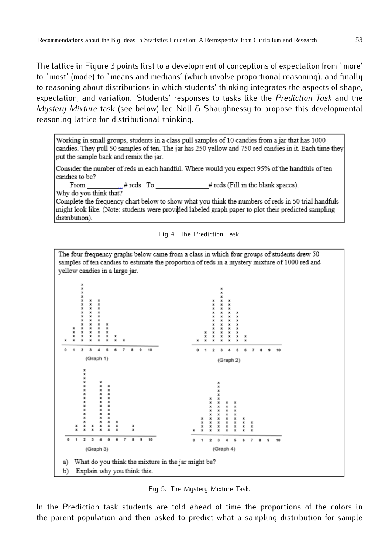The lattice in Figure 3 points first to a development of conceptions of expectation from `more' to `most' (mode) to `means and medians' (which involve proportional reasoning), and finally to reasoning about distributions in which students' thinking integrates the aspects of shape, expectation, and variation. Students' responses to tasks like the *Prediction Task* and the *Mystery Mixture* task (see below) led Noll & Shaughnessy to propose this developmental reasoning lattice for distributional thinking.

Working in small groups, students in a class pull samples of 10 candies from a jar that has 1000 candies. They pull 50 samples of ten. The jar has 250 yellow and 750 red candies in it. Each time they put the sample back and remix the jar.

Consider the number of reds in each handful. Where would you expect 95% of the handfuls of ten candies to be?

From # reds (Fill in the blank spaces). #reds To

Why do you think that?

Complete the frequency chart below to show what you think the numbers of reds in 50 trial handfuls might look like. (Note: students were provided labeled graph paper to plot their predicted sampling distribution).





Fig 5. The Mystery Mixture Task.

In the Prediction task students are told ahead of time the proportions of the colors in the parent population and then asked to predict what a sampling distribution for sample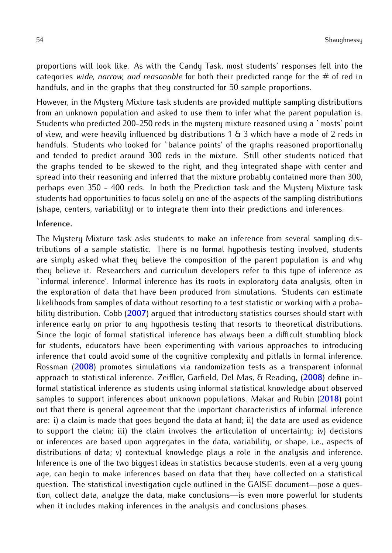proportions will look like. As with the Candy Task, most students' responses fell into the categories *wide, narrow, and reasonable* for both their predicted range for the # of red in handfuls, and in the graphs that they constructed for 50 sample proportions.

However, in the Mystery Mixture task students are provided multiple sampling distributions from an unknown population and asked to use them to infer what the parent population is. Students who predicted 200-250 reds in the mystery mixture reasoned using a `mosts' point of view, and were heavily influenced by distributions 1  $6$  3 which have a mode of 2 reds in handfuls. Students who looked for `balance points' of the graphs reasoned proportionally and tended to predict around 300 reds in the mixture. Still other students noticed that the graphs tended to be skewed to the right, and they integrated shape with center and spread into their reasoning and inferred that the mixture probably contained more than 300, perhaps even 350 - 400 reds. In both the Prediction task and the Mystery Mixture task students had opportunities to focus solely on one of the aspects of the sampling distributions (shape, centers, variability) or to integrate them into their predictions and inferences.

#### **Inference.**

The Mystery Mixture task asks students to make an inference from several sampling distributions of a sample statistic. There is no formal hypothesis testing involved, students are simply asked what they believe the composition of the parent population is and why they believe it. Researchers and curriculum developers refer to this type of inference as `informal inference'. Informal inference has its roots in exploratory data analysis, often in the exploration of data that have been produced from simulations. Students can estimate likelihoods from samples of data without resorting to a test statistic or working with a probability distribution. Cobb (**[2007](#page-12-0)**) argued that introductory statistics courses should start with inference early on prior to any hypothesis testing that resorts to theoretical distributions. Since the logic of formal statistical inference has always been a difficult stumbling block for students, educators have been experimenting with various approaches to introducing inference that could avoid some of the cognitive complexity and pitfalls in formal inference. Rossman (**[2008](#page-13-0)**) promotes simulations via randomization tests as a transparent informal approach to statistical inference. Zeiffler, Garfield, Del Mas, & Reading, (**[2008](#page-14-0)**) define informal statistical inference as students using informal statistical knowledge about observed samples to support inferences about unknown populations. Makar and Rubin (**[2018](#page-13-0)**) point out that there is general agreement that the important characteristics of informal inference are: i) a claim is made that goes beyond the data at hand; ii) the data are used as evidence to support the claim; iii) the claim involves the articulation of uncertainty; iv) decisions or inferences are based upon aggregates in the data, variability, or shape, i.e., aspects of distributions of data; v) contextual knowledge plays a role in the analysis and inference. Inference is one of the two biggest ideas in statistics because students, even at a very young age, can begin to make inferences based on data that they have collected on a statistical question. The statistical investigation cycle outlined in the GAISE document—pose a question, collect data, analyze the data, make conclusions—is even more powerful for students when it includes making inferences in the analysis and conclusions phases.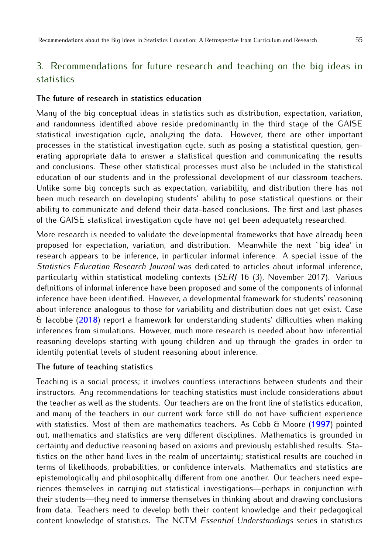# 3. Recommendations for future research and teaching on the big ideas in statistics

#### **The future of research in statistics education**

Many of the big conceptual ideas in statistics such as distribution, expectation, variation, and randomness identified above reside predominantly in the third stage of the GAISE statistical investigation cycle, analyzing the data. However, there are other important processes in the statistical investigation cycle, such as posing a statistical question, generating appropriate data to answer a statistical question and communicating the results and conclusions. These other statistical processes must also be included in the statistical education of our students and in the professional development of our classroom teachers. Unlike some big concepts such as expectation, variability, and distribution there has not been much research on developing students' ability to pose statistical questions or their ability to communicate and defend their data-based conclusions. The first and last phases of the GAISE statistical investigation cycle have not yet been adequately researched.

More research is needed to validate the developmental frameworks that have already been proposed for expectation, variation, and distribution. Meanwhile the next `big idea' in research appears to be inference, in particular informal inference. A special issue of the *Statistics Education Research Journal* was dedicated to articles about informal inference, particularly within statistical modeling contexts (*SERJ* 16 (3), November 2017). Various definitions of informal inference have been proposed and some of the components of informal inference have been identified. However, a developmental framework for students' reasoning about inference analogous to those for variability and distribution does not yet exist. Case & Jacobbe (**[2018](#page-12-0)**) report a framework for understanding students' difficulties when making inferences from simulations. However, much more research is needed about how inferential reasoning develops starting with young children and up through the grades in order to identify potential levels of student reasoning about inference.

#### **The future of teaching statistics**

Teaching is a social process; it involves countless interactions between students and their instructors. Any recommendations for teaching statistics must include considerations about the teacher as well as the students. Our teachers are on the front line of statistics education, and many of the teachers in our current work force still do not have sufficient experience with statistics. Most of them are mathematics teachers. As Cobb & Moore (**[1997](#page-13-0)**) pointed out, mathematics and statistics are very different disciplines. Mathematics is grounded in certainty and deductive reasoning based on axioms and previously established results. Statistics on the other hand lives in the realm of uncertainty; statistical results are couched in terms of likelihoods, probabilities, or confidence intervals. Mathematics and statistics are epistemologically and philosophically different from one another. Our teachers need experiences themselves in carrying out statistical investigations—perhaps in conjunction with their students—they need to immerse themselves in thinking about and drawing conclusions from data. Teachers need to develop both their content knowledge and their pedagogical content knowledge of statistics. The NCTM *Essential Understandings* series in statistics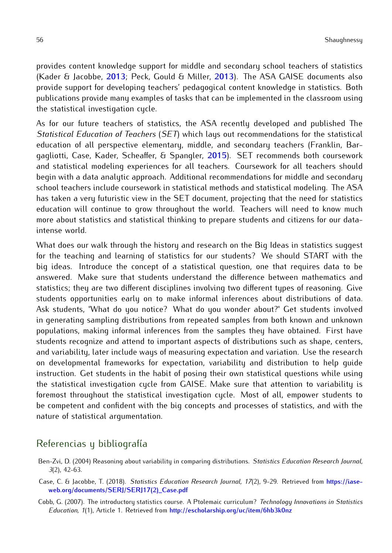<span id="page-12-0"></span>provides content knowledge support for middle and secondary school teachers of statistics (Kader & Jacobbe, **[2013](#page-13-0)**; Peck, Gould & Miller, **[2013](#page-13-0)**). The ASA GAISE documents also provide support for developing teachers' pedagogical content knowledge in statistics. Both publications provide many examples of tasks that can be implemented in the classroom using the statistical investigation cycle.

As for our future teachers of statistics, the ASA recently developed and published The *Statistical Education of Teachers* (*SET*) which lays out recommendations for the statistical education of all perspective elementary, middle, and secondary teachers (Franklin, Bargagliotti, Case, Kader, Scheaffer, & Spangler, **[2015](#page-13-0)**). SET recommends both coursework and statistical modeling experiences for all teachers. Coursework for all teachers should begin with a data analytic approach. Additional recommendations for middle and secondary school teachers include coursework in statistical methods and statistical modeling. The ASA has taken a very futuristic view in the SET document, projecting that the need for statistics education will continue to grow throughout the world. Teachers will need to know much more about statistics and statistical thinking to prepare students and citizens for our dataintense world.

What does our walk through the history and research on the Big Ideas in statistics suggest for the teaching and learning of statistics for our students? We should START with the big ideas. Introduce the concept of a statistical question, one that requires data to be answered. Make sure that students understand the difference between mathematics and statistics; they are two different disciplines involving two different types of reasoning. Give students opportunities early on to make informal inferences about distributions of data. Ask students, "What do you notice? What do you wonder about?" Get students involved in generating sampling distributions from repeated samples from both known and unknown populations, making informal inferences from the samples they have obtained. First have students recognize and attend to important aspects of distributions such as shape, centers, and variability, later include ways of measuring expectation and variation. Use the research on developmental frameworks for expectation, variability and distribution to help guide instruction. Get students in the habit of posing their own statistical questions while using the statistical investigation cycle from GAISE. Make sure that attention to variability is foremost throughout the statistical investigation cycle. Most of all, empower students to be competent and confident with the big concepts and processes of statistics, and with the nature of statistical argumentation.

# Referencias y bibliografía

- Ben-Zvi, D. (2004) Reasoning about variability in comparing distributions. *Statistics Education Research Journal, 3*(2), 42-63.
- Case, C. & Jacobbe, T. (2018). *Statistics Education Research Journal, 17*(2), 9-29. Retrieved from **[https://iase](https://iase-web.org/documents/SERJ/SERJ17(2)_Case.pdf)[web.org/documents/SERJ/SERJ17\(2\)\\_Case.pdf](https://iase-web.org/documents/SERJ/SERJ17(2)_Case.pdf)**
- Cobb, G. (2007). The introductory statistics course. A Ptolemaic curriculum? *Technology Innovations in Statistics Education, 1*(1), Article 1. Retrieved from **<http://escholarship.org/uc/item/6hb3k0nz>**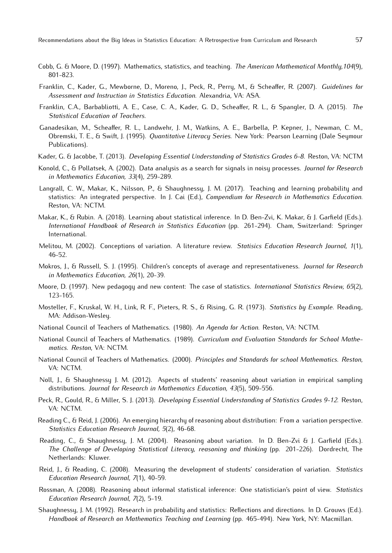- <span id="page-13-0"></span>Cobb, G. & Moore, D. (1997). Mathematics, statistics, and teaching. *The American Mathematical Monthly,104*(9), 801-823.
- Franklin, C., Kader, G., Mewborne, D., Moreno, J., Peck, R., Perry, M., & Scheaffer, R. (2007). *Guidelines for Assessment and Instruction in Statistics Education*. Alexandria, VA: ASA.
- Franklin, C.A., Barbabliotti, A. E., Case, C. A., Kader, G. D., Scheaffer, R. L., & Spangler, D. A. (2015). *The Statistical Education of Teachers*.
- Ganadesikan, M., Scheaffer, R. L., Landwehr, J. M., Watkins, A. E., Barbella, P. Kepner, J., Newman, C. M., Obremski, T. E., & Swift, J. (1995). *Quantitative Literacy Series*. New York: Pearson Learning (Dale Seymour Publications).
- Kader, G. & Jacobbe, T. (2013). *Developing Essential Understanding of Statistics Grades 6-8*. Reston, VA: NCTM
- Konold, C., & Pollatsek, A. (2002). Data analysis as a search for signals in noisy processes. *Journal for Research in Mathematics Education, 33*(4), 259-289.
- Langrall, C. W., Makar, K., Nilsson, P., & Shaughnessy, J. M. (2017). Teaching and learning probability and statistics: An integrated perspective. In J. Cai (Ed.), *Compendium for Research in Mathematics Education*. Reston, VA: NCTM.
- Makar, K., & Rubin. A. (2018). Learning about statistical inference. In D. Ben-Zvi, K. Makar, & J. Garfield (Eds.). *International Handbook of Research in Statistics Education* (pp. 261-294). Cham, Switzerland: Springer International.
- Melitou, M. (2002). Conceptions of variation. A literature review. *Statisics Education Research Journal, 1*(1), 46-52.
- Mokros, J., & Russell, S. J. (1995). Children's concepts of average and representativeness. *Journal for Research in Mathematics Education, 26*(1), 20-39.
- Moore, D. (1997). New pedagogy and new content: The case of statistics. *International Statistics Review, 65*(2), 123-165.
- Mosteller, F., Kruskal, W. H., Link, R. F., Pieters, R. S., & Rising, G. R. (1973). *Statistics by Example*. Reading, MA: Addison-Wesley.
- National Council of Teachers of Mathematics. (1980). *An Agenda for Action*. Reston, VA: NCTM.
- National Council of Teachers of Mathematics. (1989). *Curriculum and Evaluation Standards for School Mathematics. Reston*, VA: NCTM.
- National Council of Teachers of Mathematics. (2000). *Principles and Standards for school Mathematics. Reston*, VA: NCTM.
- Noll, J., & Shaughnessy J. M. (2012). Aspects of students' reasoning about variation in empirical sampling distributions. *Journal for Research in Mathematics Education, 43*(5), 509-556.
- Peck, R., Gould, R., & Miller, S. J. (2013). *Developing Essential Understanding of Statistics Grades 9-12*. Reston, VA: NCTM.
- Reading C., & Reid, J. (2006). An emerging hierarchy of reasoning about distribution: From a variation perspective. *Statistics Education Research Journal, 5*(2), 46-68.
- Reading, C., & Shaughnessy, J. M. (2004). Reasoning about variation. In D. Ben-Zvi & J. Garfield (Eds.). *The Challenge of Developing Statistical Literacy, reasoning and thinking* (pp. 201-226). Dordrecht, The Netherlands: Kluwer.
- Reid, J., & Reading, C. (2008). Measuring the development of students' consideration of variation. *Statistics Education Research Journal, 7*(1), 40-59.
- Rossman, A. (2008). Reasoning about informal statistical inference: One statistician's point of view. *Statistics Education Research Journal, 7*(2), 5-19.
- Shaughnessy, J. M. (1992). Research in probability and statistics: Reflections and directions. In D. Grouws (Ed.). *Handbook of Research on Mathematics Teaching and Learning* (pp. 465-494). New York, NY: Macmillan.